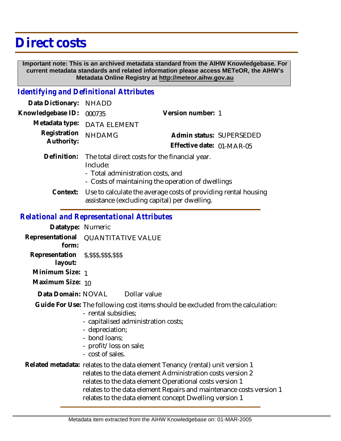## **Direct costs**

 **Important note: This is an archived metadata standard from the AIHW Knowledgebase. For current metadata standards and related information please access METeOR, the AIHW's Metadata Online Registry at http://meteor.aihw.gov.au**

## *Identifying and Definitional Attributes*

| Data Dictionary:           | <b>NHADD</b>                                                                                                                                         |                           |                          |
|----------------------------|------------------------------------------------------------------------------------------------------------------------------------------------------|---------------------------|--------------------------|
| Knowledgebase ID:          | 000735                                                                                                                                               | Version number: 1         |                          |
| Metadata type:             | <b>DATA ELEMENT</b>                                                                                                                                  |                           |                          |
| Registration<br>Authority: | <b>NHDAMG</b>                                                                                                                                        |                           | Admin status: SUPERSEDED |
|                            |                                                                                                                                                      | Effective date: 01-MAR-05 |                          |
| Definition:                | The total direct costs for the financial year.<br>Include:<br>- Total administration costs, and<br>- Costs of maintaining the operation of dwellings |                           |                          |
| Context:                   | Use to calculate the average costs of providing rental housing<br>assistance (excluding capital) per dwelling.                                       |                           |                          |
|                            | <b>Relational and Representational Attributes</b>                                                                                                    |                           |                          |

**Datatype:** Numeric **Representational** QUANTITATIVE VALUE  **form: Representation** \$,\$\$\$,\$\$\$,\$\$\$  **layout: Minimum Size:** 1 **Maximum Size:** 10 Dollar value Guide For Use: The following cost items should be excluded from the calculation: - rental subsidies; - capitalised administration costs; - depreciation; - bond loans; - profit/loss on sale; **Data Domain:**

- cost of sales.

## Related metadata: relates to the data element Tenancy (rental) unit version 1 relates to the data element Administration costs version 2 relates to the data element Operational costs version 1 relates to the data element Repairs and maintenance costs version 1 relates to the data element concept Dwelling version 1